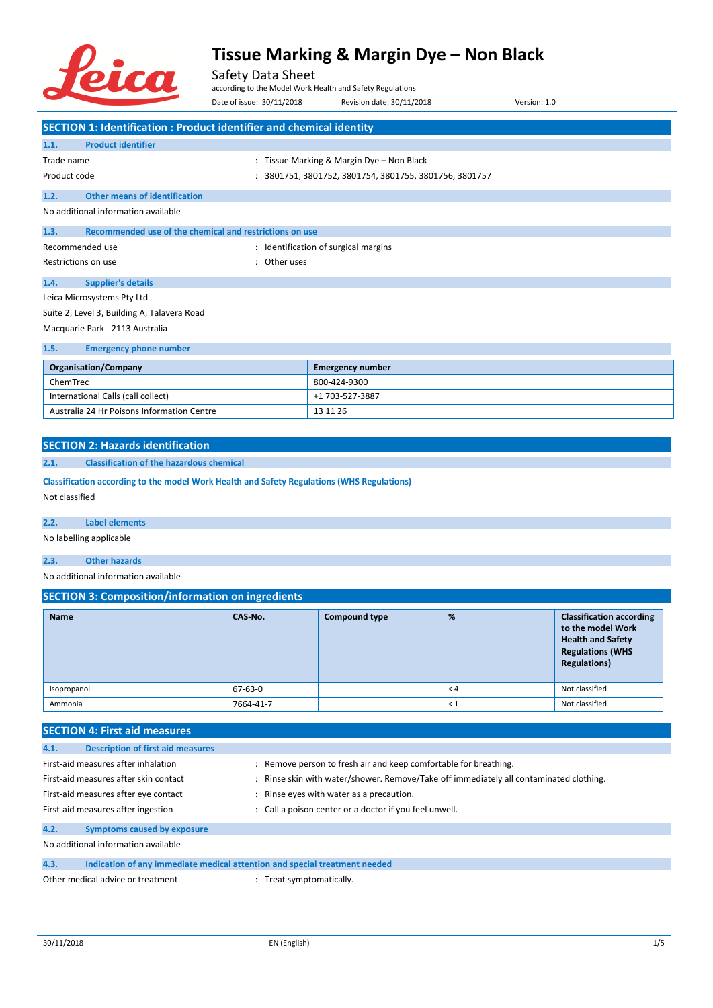

Safety Data Sheet

according to the Model Work Health and Safety Regulations Date of issue: 30/11/2018 Revision date: 30/11/2018 Version: 1.0

|              | <b>SECTION 1: Identification : Product identifier and chemical identity</b> |                                                      |
|--------------|-----------------------------------------------------------------------------|------------------------------------------------------|
| 1.1.         | <b>Product identifier</b>                                                   |                                                      |
| Trade name   |                                                                             | : Tissue Marking & Margin Dye - Non Black            |
| Product code |                                                                             | 3801751, 3801752, 3801754, 3801755, 3801756, 3801757 |
| 1.2.         | <b>Other means of identification</b>                                        |                                                      |
|              | No additional information available                                         |                                                      |
| 1.3.         | Recommended use of the chemical and restrictions on use                     |                                                      |
|              | Recommended use                                                             | : Identification of surgical margins                 |
|              | Restrictions on use                                                         | : Other uses                                         |
| 1.4.         | <b>Supplier's details</b>                                                   |                                                      |
|              | Leica Microsystems Pty Ltd                                                  |                                                      |
|              | Suite 2, Level 3, Building A, Talavera Road                                 |                                                      |
|              | Macquarie Park - 2113 Australia                                             |                                                      |
| 1.5.         | <b>Emergency phone number</b>                                               |                                                      |

| <b>Organisation/Company</b>                | <b>Emergency number</b> |  |
|--------------------------------------------|-------------------------|--|
| ChemTrec                                   | 800-424-9300            |  |
| International Calls (call collect)         | +1 703-527-3887         |  |
| Australia 24 Hr Poisons Information Centre | 13 11 26                |  |

### **SECTION 2: Hazards identification**

**2.1. Classification of the hazardous chemical**

**Classification according to the model Work Health and Safety Regulations (WHS Regulations)** Not classified

#### **2.2. Label elements**

No labelling applicable

### **2.3. Other hazards**

No additional information available

### **SECTION 3: Composition/information on ingredients**

| <b>Name</b> | CAS-No.   | <b>Compound type</b> | %        | <b>Classification according</b><br>to the model Work<br><b>Health and Safety</b><br><b>Regulations (WHS</b><br><b>Regulations)</b> |
|-------------|-----------|----------------------|----------|------------------------------------------------------------------------------------------------------------------------------------|
| Isopropanol | 67-63-0   |                      | < 4      | Not classified                                                                                                                     |
| Ammonia     | 7664-41-7 |                      | $\leq 1$ | Not classified                                                                                                                     |

|      | <b>SECTION 4: First aid measures</b>     |  |
|------|------------------------------------------|--|
| 4.1. | <b>Description of first aid measures</b> |  |
|      | .                                        |  |

| First-aid measures after inhalation        | Remove person to fresh air and keep comfortable for breathing.                       |  |
|--------------------------------------------|--------------------------------------------------------------------------------------|--|
| First-aid measures after skin contact      | Rinse skin with water/shower. Remove/Take off immediately all contaminated clothing. |  |
| First-aid measures after eye contact       | Rinse eyes with water as a precaution.                                               |  |
| First-aid measures after ingestion         | : Call a poison center or a doctor if you feel unwell.                               |  |
| 4.2.<br><b>Symptoms caused by exposure</b> |                                                                                      |  |
| No additional information available        |                                                                                      |  |

| 4.3. | Indication of any immediate medical attention and special treatment needed |
|------|----------------------------------------------------------------------------|
|      |                                                                            |

Other medical advice or treatment : Treat symptomatically.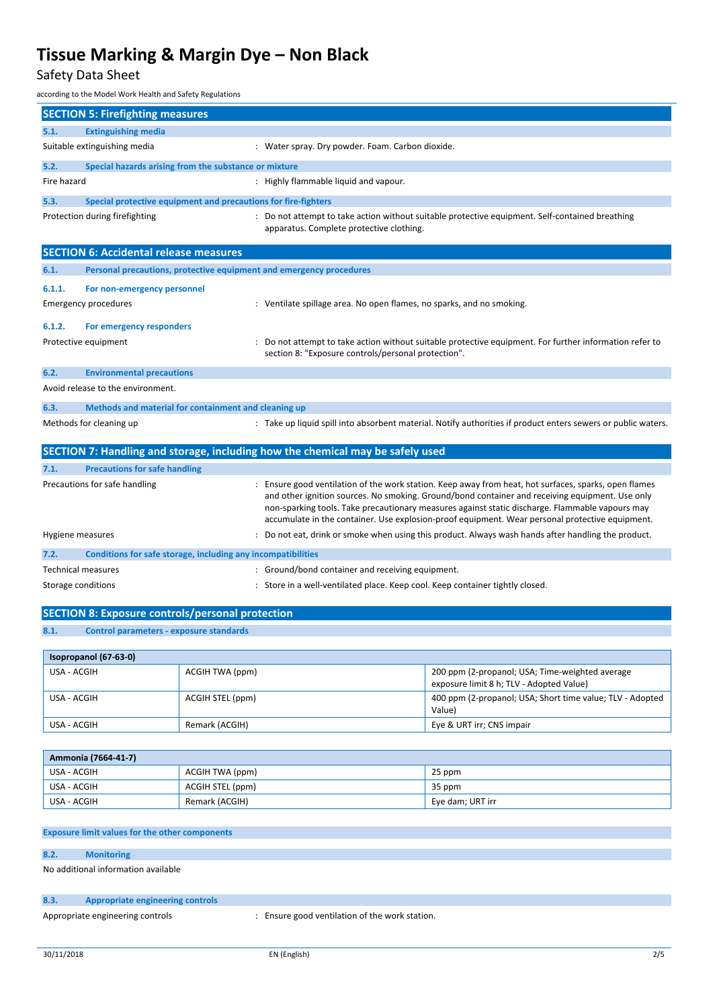Safety Data Sheet

according to the Model Work Health and Safety Regulations

|                                                                                                   | <b>SECTION 5: Firefighting measures</b>                             |                                                                                                                                                                                                                                                                                                                                                                                                              |  |
|---------------------------------------------------------------------------------------------------|---------------------------------------------------------------------|--------------------------------------------------------------------------------------------------------------------------------------------------------------------------------------------------------------------------------------------------------------------------------------------------------------------------------------------------------------------------------------------------------------|--|
| 5.1.                                                                                              | <b>Extinguishing media</b>                                          |                                                                                                                                                                                                                                                                                                                                                                                                              |  |
|                                                                                                   | Suitable extinguishing media                                        | : Water spray. Dry powder. Foam. Carbon dioxide.                                                                                                                                                                                                                                                                                                                                                             |  |
| 5.2.                                                                                              | Special hazards arising from the substance or mixture               |                                                                                                                                                                                                                                                                                                                                                                                                              |  |
| Fire hazard                                                                                       |                                                                     | : Highly flammable liquid and vapour.                                                                                                                                                                                                                                                                                                                                                                        |  |
| 5.3.                                                                                              | Special protective equipment and precautions for fire-fighters      |                                                                                                                                                                                                                                                                                                                                                                                                              |  |
|                                                                                                   | Protection during firefighting                                      | : Do not attempt to take action without suitable protective equipment. Self-contained breathing<br>apparatus. Complete protective clothing.                                                                                                                                                                                                                                                                  |  |
|                                                                                                   | <b>SECTION 6: Accidental release measures</b>                       |                                                                                                                                                                                                                                                                                                                                                                                                              |  |
| 6.1.                                                                                              | Personal precautions, protective equipment and emergency procedures |                                                                                                                                                                                                                                                                                                                                                                                                              |  |
| 6.1.1.                                                                                            | For non-emergency personnel                                         |                                                                                                                                                                                                                                                                                                                                                                                                              |  |
|                                                                                                   | <b>Emergency procedures</b>                                         | : Ventilate spillage area. No open flames, no sparks, and no smoking.                                                                                                                                                                                                                                                                                                                                        |  |
| 6.1.2.                                                                                            | For emergency responders                                            |                                                                                                                                                                                                                                                                                                                                                                                                              |  |
|                                                                                                   | Protective equipment                                                | Do not attempt to take action without suitable protective equipment. For further information refer to<br>section 8: "Exposure controls/personal protection".                                                                                                                                                                                                                                                 |  |
| 6.2.                                                                                              | <b>Environmental precautions</b>                                    |                                                                                                                                                                                                                                                                                                                                                                                                              |  |
|                                                                                                   | Avoid release to the environment.                                   |                                                                                                                                                                                                                                                                                                                                                                                                              |  |
| 6.3.                                                                                              | Methods and material for containment and cleaning up                |                                                                                                                                                                                                                                                                                                                                                                                                              |  |
|                                                                                                   | Methods for cleaning up                                             | : Take up liquid spill into absorbent material. Notify authorities if product enters sewers or public waters.                                                                                                                                                                                                                                                                                                |  |
|                                                                                                   |                                                                     | SECTION 7: Handling and storage, including how the chemical may be safely used                                                                                                                                                                                                                                                                                                                               |  |
| 7.1.                                                                                              | <b>Precautions for safe handling</b>                                |                                                                                                                                                                                                                                                                                                                                                                                                              |  |
| Precautions for safe handling                                                                     |                                                                     | Ensure good ventilation of the work station. Keep away from heat, hot surfaces, sparks, open flames<br>and other ignition sources. No smoking. Ground/bond container and receiving equipment. Use only<br>non-sparking tools. Take precautionary measures against static discharge. Flammable vapours may<br>accumulate in the container. Use explosion-proof equipment. Wear personal protective equipment. |  |
| Hygiene measures                                                                                  |                                                                     | : Do not eat, drink or smoke when using this product. Always wash hands after handling the product.                                                                                                                                                                                                                                                                                                          |  |
| Conditions for safe storage, including any incompatibilities<br>7.2.                              |                                                                     |                                                                                                                                                                                                                                                                                                                                                                                                              |  |
| <b>Technical measures</b>                                                                         |                                                                     | : Ground/bond container and receiving equipment.                                                                                                                                                                                                                                                                                                                                                             |  |
| Storage conditions<br>Store in a well-ventilated place. Keep cool. Keep container tightly closed. |                                                                     |                                                                                                                                                                                                                                                                                                                                                                                                              |  |
|                                                                                                   | <b>SECTION 8: Exposure controls/personal protection</b>             |                                                                                                                                                                                                                                                                                                                                                                                                              |  |

## **8.1. Control parameters - exposure standards**

| Isopropanol (67-63-0) |                  |                                                                                             |
|-----------------------|------------------|---------------------------------------------------------------------------------------------|
| USA - ACGIH           | ACGIH TWA (ppm)  | 200 ppm (2-propanol; USA; Time-weighted average<br>exposure limit 8 h; TLV - Adopted Value) |
| USA - ACGIH           | ACGIH STEL (ppm) | 400 ppm (2-propanol; USA; Short time value; TLV - Adopted  <br>Value)                       |
| USA - ACGIH           | Remark (ACGIH)   | Eye & URT irr; CNS impair                                                                   |

| Ammonia (7664-41-7) |                  |                  |
|---------------------|------------------|------------------|
| USA - ACGIH         | ACGIH TWA (ppm)  | 25 ppm           |
| USA - ACGIH         | ACGIH STEL (ppm) | 35 ppm           |
| USA - ACGIH         | Remark (ACGIH)   | Eye dam; URT irr |

### **Exposure limit values for the other components**

**8.2. Monitoring**

No additional information available

## **8.3. Appropriate engineering controls**

Appropriate engineering controls **interpretent controls** : Ensure good ventilation of the work station.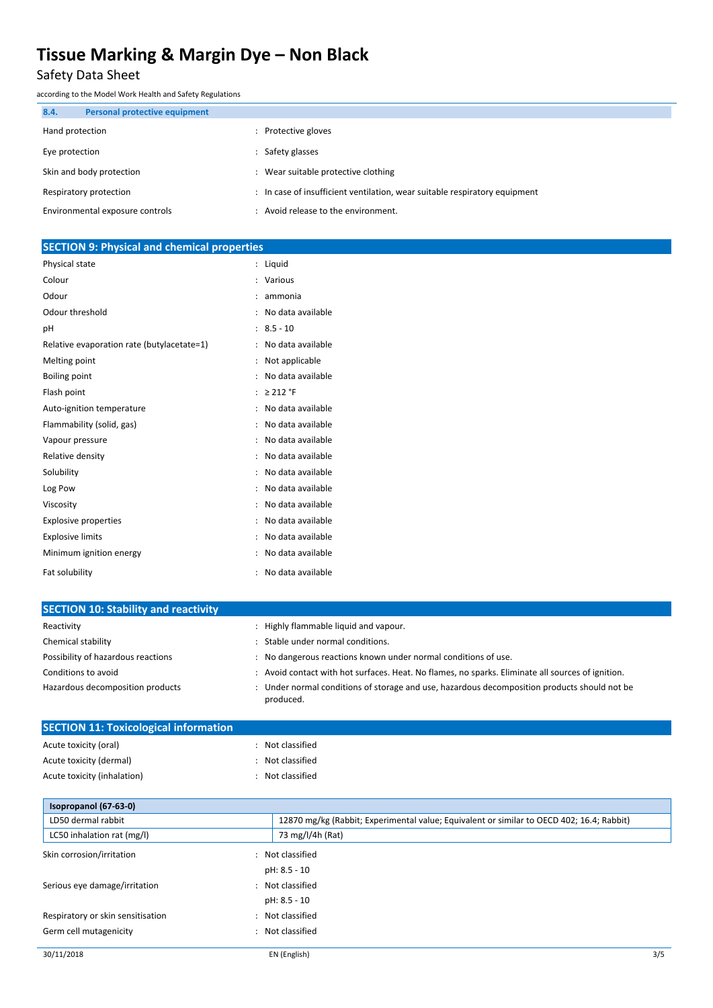Safety Data Sheet

according to the Model Work Health and Safety Regulations

| 8.4.<br><b>Personal protective equipment</b> |                                                                            |
|----------------------------------------------|----------------------------------------------------------------------------|
| Hand protection                              | Protective gloves                                                          |
| Eye protection                               | Safety glasses                                                             |
| Skin and body protection                     | Wear suitable protective clothing                                          |
| Respiratory protection                       | : In case of insufficient ventilation, wear suitable respiratory equipment |
| Environmental exposure controls              | Avoid release to the environment.                                          |

| <b>SECTION 9: Physical and chemical properties</b> |                                               |
|----------------------------------------------------|-----------------------------------------------|
| Physical state                                     | : Liquid                                      |
| Colour                                             | : Various                                     |
| Odour                                              | ammonia                                       |
| Odour threshold                                    | No data available                             |
| pH                                                 | $: 8.5 - 10$                                  |
| Relative evaporation rate (butylacetate=1)         | No data available<br>$\overline{\phantom{a}}$ |
| Melting point                                      | Not applicable                                |
| Boiling point                                      | No data available                             |
| Flash point                                        | : $> 212$ °F                                  |
| Auto-ignition temperature                          | No data available<br>$\bullet$                |
| Flammability (solid, gas)                          | No data available                             |
| Vapour pressure                                    | No data available                             |
| Relative density                                   | : No data available                           |
| Solubility                                         | : No data available                           |
| Log Pow                                            | : No data available                           |
| Viscosity                                          | : No data available                           |
| <b>Explosive properties</b>                        | : No data available                           |
| <b>Explosive limits</b>                            | No data available                             |
| Minimum ignition energy                            | No data available                             |
| Fat solubility                                     | : No data available                           |
|                                                    |                                               |

| <b>SECTION 10: Stability and reactivity</b> |                                                                                                           |  |  |  |
|---------------------------------------------|-----------------------------------------------------------------------------------------------------------|--|--|--|
| Reactivity                                  | Highly flammable liquid and vapour.                                                                       |  |  |  |
| Chemical stability                          | : Stable under normal conditions.                                                                         |  |  |  |
| Possibility of hazardous reactions          | : No dangerous reactions known under normal conditions of use.                                            |  |  |  |
| Conditions to avoid                         | : Avoid contact with hot surfaces. Heat. No flames, no sparks. Eliminate all sources of ignition.         |  |  |  |
| Hazardous decomposition products            | : Under normal conditions of storage and use, hazardous decomposition products should not be<br>produced. |  |  |  |

| <b>SECTION 11: Toxicological information</b> |                  |  |  |
|----------------------------------------------|------------------|--|--|
| Acute toxicity (oral)                        | Not classified   |  |  |
| Acute toxicity (dermal)                      | : Not classified |  |  |
| Acute toxicity (inhalation)                  | Not classified   |  |  |
|                                              |                  |  |  |

| 12870 mg/kg (Rabbit; Experimental value; Equivalent or similar to OECD 402; 16.4; Rabbit) |
|-------------------------------------------------------------------------------------------|
| 73 mg/l/4h (Rat)                                                                          |
| : Not classified<br>pH: 8.5 - 10                                                          |
| Not classified<br>pH: 8.5 - 10                                                            |
| : Not classified                                                                          |
| Not classified                                                                            |
|                                                                                           |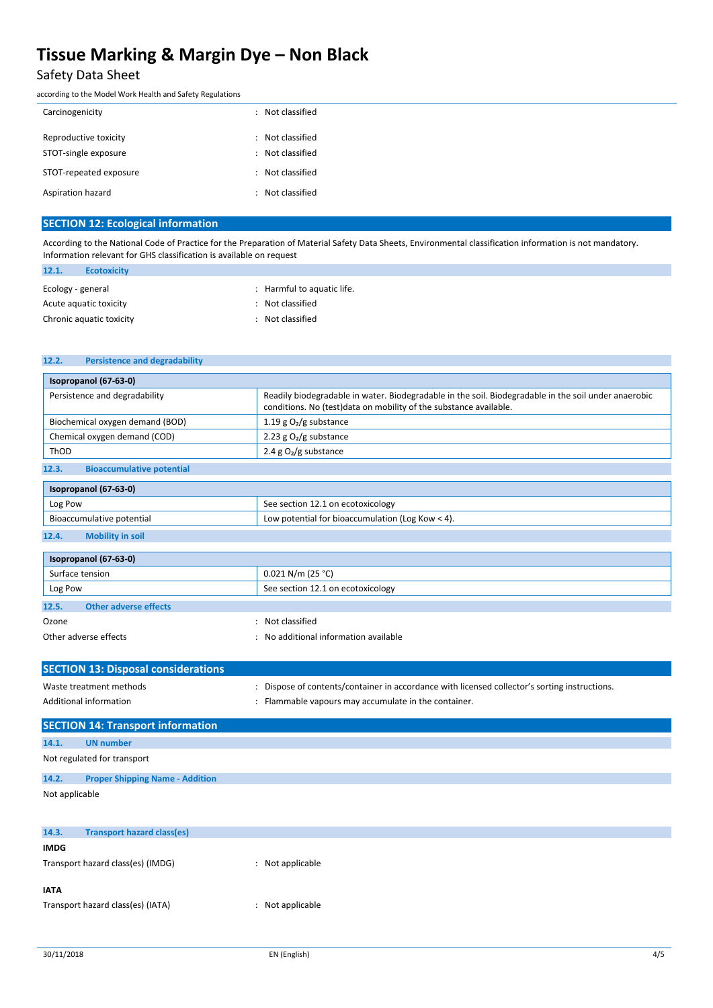## Safety Data Sheet

according to the Model Work Health and Safety Regulations

| Carcinogenicity        | ÷         | Not classified   |
|------------------------|-----------|------------------|
| Reproductive toxicity  |           | : Not classified |
| STOT-single exposure   | $\bullet$ | Not classified   |
| STOT-repeated exposure | ۰.        | Not classified   |
| Aspiration hazard      |           | Not classified   |

### **SECTION 12: Ecological information**

According to the National Code of Practice for the Preparation of Material Safety Data Sheets, Environmental classification information is not mandatory. Information relevant for GHS classification is available on request

| 12.1.                    | <b>Ecotoxicity</b>     |                            |
|--------------------------|------------------------|----------------------------|
|                          | Ecology - general      | : Harmful to aquatic life. |
|                          | Acute aguatic toxicity | : Not classified           |
| Chronic aquatic toxicity |                        | : Not classified           |

| 12.2.<br><b>Persistence and degradability</b>            |                                                                                                                                                                            |  |
|----------------------------------------------------------|----------------------------------------------------------------------------------------------------------------------------------------------------------------------------|--|
| Isopropanol (67-63-0)                                    |                                                                                                                                                                            |  |
| Persistence and degradability                            | Readily biodegradable in water. Biodegradable in the soil. Biodegradable in the soil under anaerobic<br>conditions. No (test) data on mobility of the substance available. |  |
| Biochemical oxygen demand (BOD)                          | 1.19 g $O_2/g$ substance                                                                                                                                                   |  |
| Chemical oxygen demand (COD)<br>2.23 g $O_2/g$ substance |                                                                                                                                                                            |  |
| ThOD                                                     | 2.4 g $O_2/g$ substance                                                                                                                                                    |  |
| 12.3.<br><b>Bioaccumulative potential</b>                |                                                                                                                                                                            |  |
| Isopropanol (67-63-0)                                    |                                                                                                                                                                            |  |
| Log Pow                                                  | See section 12.1 on ecotoxicology                                                                                                                                          |  |
| Bioaccumulative potential                                | Low potential for bioaccumulation (Log Kow $<$ 4).                                                                                                                         |  |

#### **12.4. Mobility in soil**

| Isopropanol (67-63-0)          |                                     |
|--------------------------------|-------------------------------------|
| Surface tension                | $0.021$ N/m (25 °C)                 |
| Log Pow                        | See section 12.1 on ecotoxicology   |
| 12.5.<br>Other adverse effects |                                     |
| Ozone                          | Not classified                      |
| Other adverse effects          | No additional information available |

|                                                   | <b>SECTION 13: Disposal considerations</b> |                                                                                                                                                          |
|---------------------------------------------------|--------------------------------------------|----------------------------------------------------------------------------------------------------------------------------------------------------------|
| Waste treatment methods<br>Additional information |                                            | : Dispose of contents/container in accordance with licensed collector's sorting instructions.<br>Flammable vapours may accumulate in the container.<br>÷ |
|                                                   | <b>SECTION 14: Transport information</b>   |                                                                                                                                                          |
| 14.1.                                             | <b>UN</b> number                           |                                                                                                                                                          |
|                                                   | Not regulated for transport                |                                                                                                                                                          |
| 14.2.                                             | <b>Proper Shipping Name - Addition</b>     |                                                                                                                                                          |
| Not applicable                                    |                                            |                                                                                                                                                          |
| 14.3.                                             | <b>Transport hazard class(es)</b>          |                                                                                                                                                          |
| <b>IMDG</b>                                       |                                            |                                                                                                                                                          |

| IMDG                              |                  |
|-----------------------------------|------------------|
| Transport hazard class(es) (IMDG) | : Not applicable |
|                                   |                  |
| <b>IATA</b>                       |                  |
| Transport hazard class(es) (IATA) | Not applicable   |